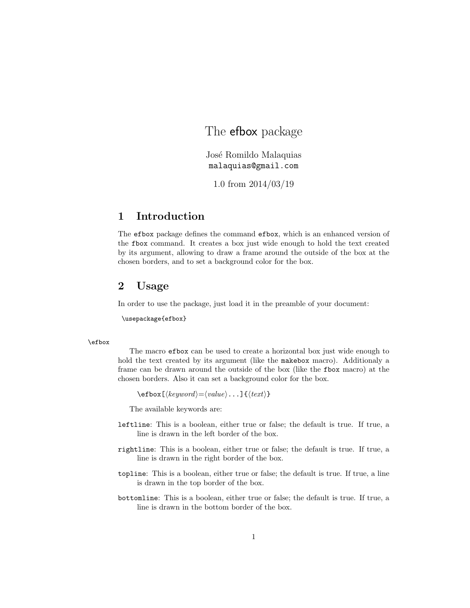The efbox package

José Romildo Malaquias malaquias@gmail.com

1.0 from 2014/03/19

## 1 Introduction

The efbox package defines the command efbox, which is an enhanced version of the fbox command. It creates a box just wide enough to hold the text created by its argument, allowing to draw a frame around the outside of the box at the chosen borders, and to set a background color for the box.

### 2 Usage

In order to use the package, just load it in the preamble of your document:

\usepackage{efbox}

### \efbox

The macro efbox can be used to create a horizontal box just wide enough to hold the text created by its argument (like the makebox macro). Additionaly a frame can be drawn around the outside of the box (like the fbox macro) at the chosen borders. Also it can set a background color for the box.

 $\setminus$ efbox $[\langle keyword \rangle = \langle value \rangle \dots] {\langle text \rangle}$ 

The available keywords are:

- leftline: This is a boolean, either true or false; the default is true. If true, a line is drawn in the left border of the box.
- rightline: This is a boolean, either true or false; the default is true. If true, a line is drawn in the right border of the box.
- topline: This is a boolean, either true or false; the default is true. If true, a line is drawn in the top border of the box.
- bottomline: This is a boolean, either true or false; the default is true. If true, a line is drawn in the bottom border of the box.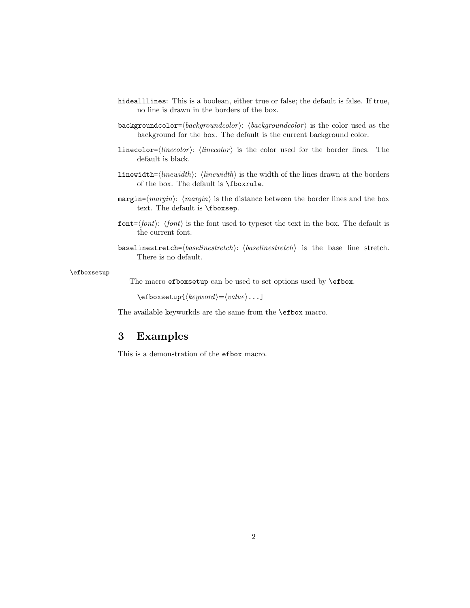- hidealllines: This is a boolean, either true or false; the default is false. If true, no line is drawn in the borders of the box.
- backgroundcolor= $\langle \text{backgroundcolor} \rangle$ :  $\langle \text{backgroundcolor} \rangle$  is the color used as the background for the box. The default is the current background color.
- linecolor =  $\langle linecolor \rangle: \langle linecolor \rangle$  is the color used for the border lines. The default is black.
- linewidth= $\langle linewidth \rangle: \langle linewidth \rangle$  is the width of the lines drawn at the borders of the box. The default is \fboxrule.
- margin= $\langle margin \rangle$ :  $\langle margin \rangle$  is the distance between the border lines and the box text. The default is \fboxsep.
- font= $\langle font \rangle: \langle font \rangle$  is the font used to typeset the text in the box. The default is the current font.
- baselinestretch= $\langle baseline stretch\rangle: \langle baseline stretch\rangle$  is the base line stretch. There is no default.

### \efboxsetup

The macro efboxsetup can be used to set options used by **\efbox**.

 $\setminus$ efboxsetup{ $\langle keyword \rangle = \langle value \rangle \dots$ ]

The available keyworkds are the same from the **\efbox** macro.

### 3 Examples

This is a demonstration of the efbox macro.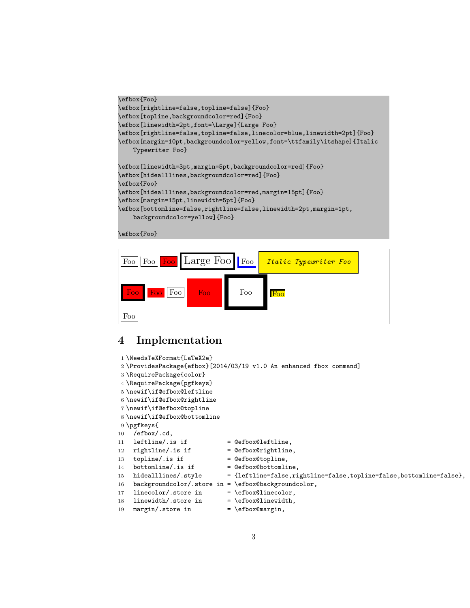```
\efbox{Foo}
\efbox[rightline=false,topline=false]{Foo}
\efbox[topline,backgroundcolor=red]{Foo}
\efbox[linewidth=2pt,font=\Large]{Large Foo}
\efbox[rightline=false,topline=false,linecolor=blue,linewidth=2pt]{Foo}
\efbox[margin=10pt,backgroundcolor=yellow,font=\ttfamily\itshape]{Italic
    Typewriter Foo}
\efbox[linewidth=3pt,margin=5pt,backgroundcolor=red]{Foo}
\efbox[hidealllines,backgroundcolor=red]{Foo}
\efbox{Foo}
\efbox[hidealllines,backgroundcolor=red,margin=15pt]{Foo}
\efbox[margin=15pt,linewidth=5pt]{Foo}
\efbox[bottomline=false,rightline=false,linewidth=2pt,margin=1pt,
    backgroundcolor=yellow]{Foo}
```
### \efbox{Foo}



### 4 Implementation

- 1 \NeedsTeXFormat{LaTeX2e}
- 2 \ProvidesPackage{efbox}[2014/03/19 v1.0 An enhanced fbox command]
- 3 \RequirePackage{color}
- 4 \RequirePackage{pgfkeys}
- 5 \newif\if@efbox@leftline
- 6 \newif\if@efbox@rightline
- 7 \newif\if@efbox@topline
- 8 \newif\if@efbox@bottomline
- 9 \pgfkeys{
- 10 /efbox/.cd,
- $11$  leftline/.is if  $=$  @efbox@leftline,
- $12$  rightline/.is if  $=$  @efbox@rightline,
- $13$  topline/.is if  $=$  @efbox@topline,
- $14$  bottomline/.is if = @efbox@bottomline,
- 
- 
- 
- 
- 
- 19 margin/.store in  $= \left\{ \infty \right\}$ ,
- 
- 
- 
- 
- 15 hidealllines/.style = {leftline=false,rightline=false,topline=false,bottomline=false},
- 16 backgroundcolor/.store in = \efbox@backgroundcolor,
- 17 linecolor/.store in = \efbox@linecolor,
- 18 linewidth/.store in = \efbox@linewidth,
	-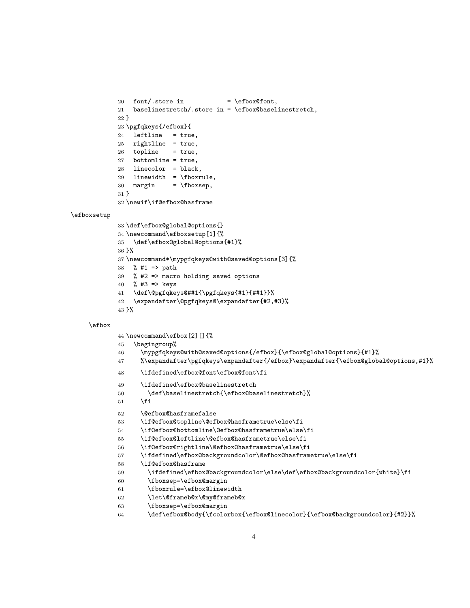```
20 font/.store in = \leftarrow21 baselinestretch/.store in = \efbox@baselinestretch,
22 }
23 \pgfqkeys{/efbox}{
24 leftline = true,
25 rightline = true,
26 topline = true,
27 bottomline = true,
28 linecolor = black,
29 linewidth = \frac{\text{b}}{\text{b}}30 margin = \b{fboxsep},
31 }
32 \newif\if@efbox@hasframe
```
#### \efboxsetup

```
33 \def\efbox@global@options{}
34 \newcommand\efboxsetup[1]{%
35 \def\efbox@global@options{#1}%
36 }%
37 \newcommand*\mypgfqkeys@with@saved@options[3]{%
38 % #1 => path
39 % #2 => macro holding saved options
40 % #3 => keys
41 \def\@pgfqkeys@##1{\pgfqkeys{#1}{##1}}%
42 \expandafter\@pgfqkeys@\expandafter{#2,#3}%
43 }%
```
### \efbox

```
44 \newcommand\efbox[2][]{%
```

```
45 \begingroup%
```
- \mypgfqkeys@with@saved@options{/efbox}{\efbox@global@options}{#1}%
- %\expandafter\pgfqkeys\expandafter{/efbox}\expandafter{\efbox@global@options,#1}%
- \ifdefined\efbox@font\efbox@font\fi
- \ifdefined\efbox@baselinestretch
- 50 \def\baselinestretch{\efbox@baselinestretch}%
- \fi

```
52 \@efbox@hasframefalse
```

```
53 \if@efbox@topline\@efbox@hasframetrue\else\fi
```

```
54 \if@efbox@bottomline\@efbox@hasframetrue\else\fi
```

```
55 \if@efbox@leftline\@efbox@hasframetrue\else\fi
```

```
56 \if@efbox@rightline\@efbox@hasframetrue\else\fi
```

```
57 \ifdefined\efbox@backgroundcolor\@efbox@hasframetrue\else\fi
```
\if@efbox@hasframe

```
59 \ifdefined\efbox@backgroundcolor\else\def\efbox@backgroundcolor{white}\fi
```

```
60 \fboxsep=\efbox@margin
```

```
61 \fboxrule=\efbox@linewidth
```

```
62 \let\@frameb@x\@my@frameb@x
```
\fboxsep=\efbox@margin

```
64 \def\efbox@body{\fcolorbox{\efbox@linecolor}{\efbox@backgroundcolor}{#2}}%
```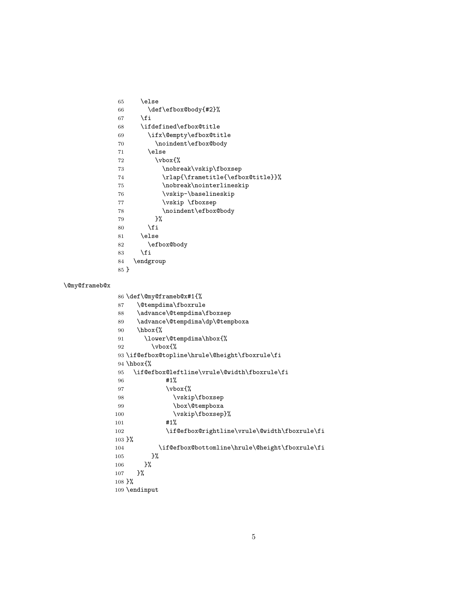```
65 \else
66 \def\efbox@body{#2}%
67 \fi
68 \ifdefined\efbox@title
69 \ifx\@empty\efbox@title
70 \noindent\efbox@body
71 \else
72 \quad \text{Vbox}\{\%}73 \nobreak\vskip\fboxsep
74 \rlap{\frametitle{\efbox@title}}%
75 \nobreak\nointerlineskip
76 \vskip-\baselineskip
77 \vskip \fboxsep
78 \noindent\efbox@body
79 }%
80 \setminusfi
81 \else
82 \efbox@body
83 \fi
84 \endgroup
85 }
```
#### \@my@frameb@x

```
86 \def\@my@frameb@x#1{%
```

```
87 \@tempdima\fboxrule
```

```
88 \advance\@tempdima\fboxsep
89 \advance\@tempdima\dp\@tempboxa
90 \hbox{%
91 \lower\@tempdima\hbox{%
92 \vbox{%
93 \if@efbox@topline\hrule\@height\fboxrule\fi
94 \hbox{%
95 \if@efbox@leftline\vrule\@width\fboxrule\fi
96 #1%
97 \vbox{%
98 \vskip\fboxsep
99 \box\@tempboxa
100 \vskip\fboxsep}%
101 #1%
102 \if@efbox@rightline\vrule\@width\fboxrule\fi
103 }%
104 \if@efbox@bottomline\hrule\@height\fboxrule\fi
105 }%
106 }%
107 }%
108 }%
109 \endinput
```